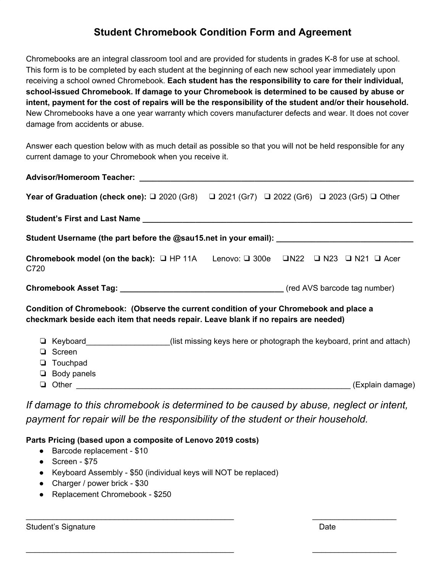## **Student Chromebook Condition Form and Agreement**

Chromebooks are an integral classroom tool and are provided for students in grades K-8 for use at school. This form is to be completed by each student at the beginning of each new school year immediately upon receiving a school owned Chromebook. **Each student has the responsibility to care for their individual, school-issued Chromebook. If damage to your Chromebook is determined to be caused by abuse or intent, payment for the cost of repairs will be the responsibility of the student and/or their household.** New Chromebooks have a one year warranty which covers manufacturer defects and wear. It does not cover damage from accidents or abuse.

Answer each question below with as much detail as possible so that you will not be held responsible for any current damage to your Chromebook when you receive it.

|                                                                                     | Year of Graduation (check one): □ 2020 (Gr8) □ 2021 (Gr7) □ 2022 (Gr6) □ 2023 (Gr5) □ Other                    |
|-------------------------------------------------------------------------------------|----------------------------------------------------------------------------------------------------------------|
|                                                                                     |                                                                                                                |
|                                                                                     | Student Username (the part before the @sau15.net in your email): ___________________________________           |
| C720                                                                                | Chromebook model (on the back): $\Box$ HP 11A Lenovo: $\Box$ 300e $\Box$ N22 $\Box$ N23 $\Box$ N21 $\Box$ Acer |
|                                                                                     |                                                                                                                |
| checkmark beside each item that needs repair. Leave blank if no repairs are needed) | Condition of Chromebook: (Observe the current condition of your Chromebook and place a                         |
| □ Screen<br>$\Box$ Touchpad<br>$\Box$ Body panels                                   | □ Keyboard___________________(list missing keys here or photograph the keyboard, print and attach)             |
|                                                                                     |                                                                                                                |

*If damage to this chromebook is determined to be caused by abuse, neglect or intent, payment for repair will be the responsibility of the student or their household.*

 $\overline{\phantom{a}}$  , and the contribution of the contribution of the contribution of the contribution of the contribution of the contribution of the contribution of the contribution of the contribution of the contribution of the

 $\overline{\phantom{a}}$  , and the contribution of the contribution of the contribution of the contribution of the contribution of the contribution of the contribution of the contribution of the contribution of the contribution of the

**Parts Pricing (based upon a composite of Lenovo 2019 costs)**

- Barcode replacement \$10
- $\bullet$  Screen \$75
- Keyboard Assembly \$50 (individual keys will NOT be replaced)
- Charger / power brick \$30
- Replacement Chromebook \$250

Student's Signature Date Date Contract and the Date Date Date Date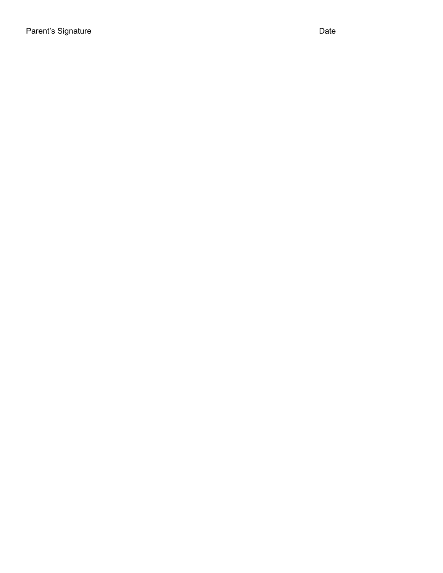Parent's Signature Date Date Communications and Date Date Date